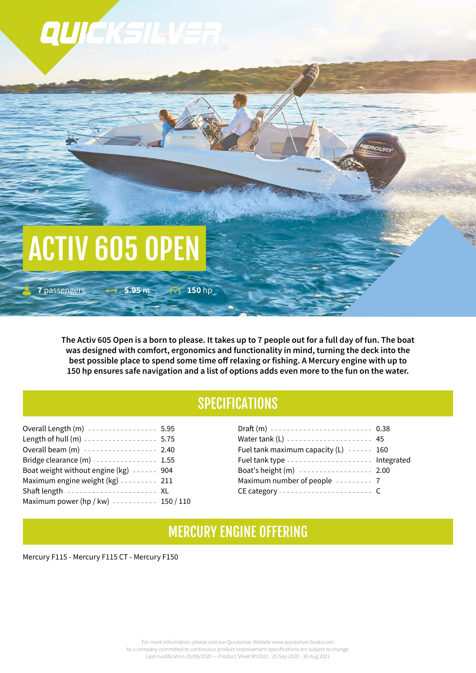

The Activ 605 Open is a born to please. It takes up to 7 people out for a full day of fun. The boat **was designed with comfort, ergonomics and functionality in mind, turning the deck into the best possible place to spend some time off relaxing or fishing. A Mercury engine with up to** 150 hp ensures safe navigation and a list of options adds even more to the fun on the water.

## **SPECIFICATIONS**

| Overall Length (m) ---------------- 5.95     |
|----------------------------------------------|
| Length of hull (m) ----------------- 5.75    |
| Overall beam (m) ----------------- 2.40      |
| Bridge clearance (m) 1.55                    |
| Boat weight without engine $(kg)$ ------ 904 |
| Maximum engine weight (kg) -------- 211      |
| Shaft length ---------------------- XL       |
| Maximum power (hp / kw) ---------- 150 / 110 |
|                                              |

| Draft (m) ------------------------ 0.38        |  |
|------------------------------------------------|--|
| Water tank (L) --------------------- 45        |  |
| Fuel tank maximum capacity $(L)$ ------ 160    |  |
| Fuel tank type -------------------- Integrated |  |
| Boat's height (m) ----------------- 2.00       |  |
| Maximum number of people -------- 7            |  |
| CE category ----------------------- C          |  |

## MERCURY ENGINE 0FFERING

Mercury F115 - Mercury F115 CT - Mercury F150